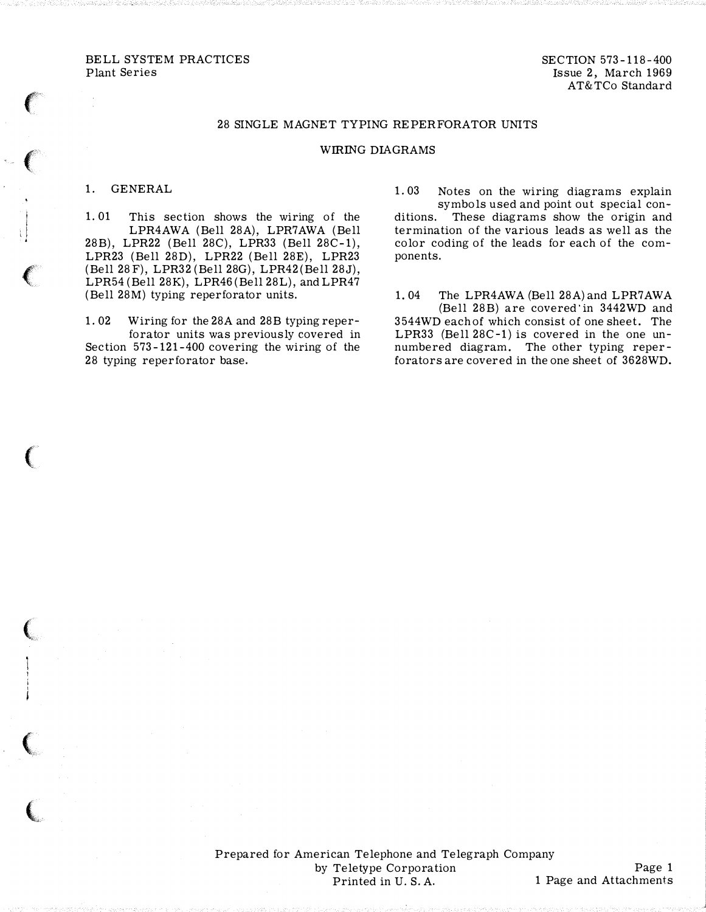BELL SYSTEM PRACTICES Plant Series

SECTION 573-118-400 Issue 2, March 1969 AT&TCo Standard

## 28 SINGLE MAGNET TYPING REPERFORATOR UNITS

## WIRING DIAGRAMS

## 1. GENERAL

 $\epsilon$ 

 $\left($ 

! ''' .

 $\left($ 

 $\big($ 

 $\big($ 

(

 $\big($ 

1. 01 This section shows the wiring of the LPR4AWA (Bell 28A), LPR7AWA (Bell 28B), LPR22 (Bell 28C), LPR33 (Bell 28C-1), LPR23 (Bell 28D), LPR22 (Bell 28E), LPR23 (Bell 28F), LPR32 (Bell 28G), LPR42 (Bell 28J), LPR54 (Bell 28K), LPR46 (Bell 28L), and LPR47 (Bell 28M) typing reperforator units.

1. 02 W iring for the 28A and 28B typing reperforator units was previously covered in Section 573-121-400 covering the wiring of the 28 typing reperforator base.

- 1. 03 Notes on the wiring diagrams explain symbols used and point out special conditions. These diagrams show the origin and termination of the various leads as well as the color coding of the leads for each of the components.
- 1. 04 The LPR4AWA (Bell 28A) and LPR7AWA (Bell 28B) are covered in 3442WD and 3544WD each of which consist of one sheet. The LPR33 (Bell 28C-1) is covered in the one unnumbered diagram. The other typing reperforators are covered in the one sheet of 3628WD.

Prepared for American Telephone and Telegraph Company by Teletype Corporation Printed in U.S. A.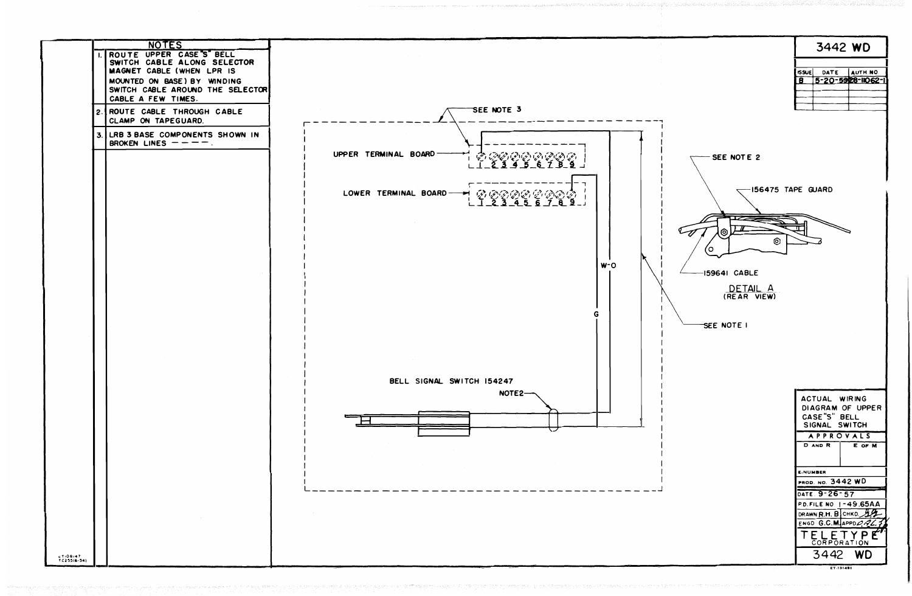NOTES 3442 WD ROUTE UPPER CASE"S" BELL SWITCH CABLE ALONG SELECTOR SSUE DATE AUTH. NO. 8 5-20-5928-1062-1 MAGNET CABLE (WHEN LPR IS MOUNTED ON BASE) BY WINDING SWITCH CABLE AROUND THE SELECTOR CABLE A FEW TIMES. SEE NOTE 3 ROUTE CABLE THROUGH CABLE CLAMP ON TAPEGUARD. LRB 3 BASE COMPONENTS SHOWN IN BROKEN LINES  $---$ . UPPER TERMINAL BOARD SEE NOTE 2 `§`  $-156475$  TAPE GUARD `*©©©©`@`@©`©`\_`*<br>\_&\_3\_\_4\_5\_6\_7\_8\_9\_J LOWER TERMINAL BOARD-فيميا وحويرا π ര -77 ෧  $\circ$  $W^-O$ -159641 CABLE DETAIL A (REAR VIEW) G. SEE NOTE I BELL SIGNAL SWITCH 154247 NOTE2-ACTUAL WIRING DIAGRAM OF UPPER CASE"S" BELL SIGNAL SWITCH APPROVALS D AND R E OF M  $\frac{1}{2}$ TIOBI47<br>TC255(6-54) ET-131481

| E NUMBER                       |                         |
|--------------------------------|-------------------------|
| <u>PROD. NO.</u> 3442 WD       |                         |
| <b>DATE 9-26-57</b>            |                         |
| <b>P.D. FILE NO. 1-49.65AA</b> |                         |
| DRAWN R.H. B CHKO 44           |                         |
|                                | ENGD G.C.M. APPD $QRLF$ |
| TELETYP<br>CORPORATION         |                         |
| 3442                           | WŊ                      |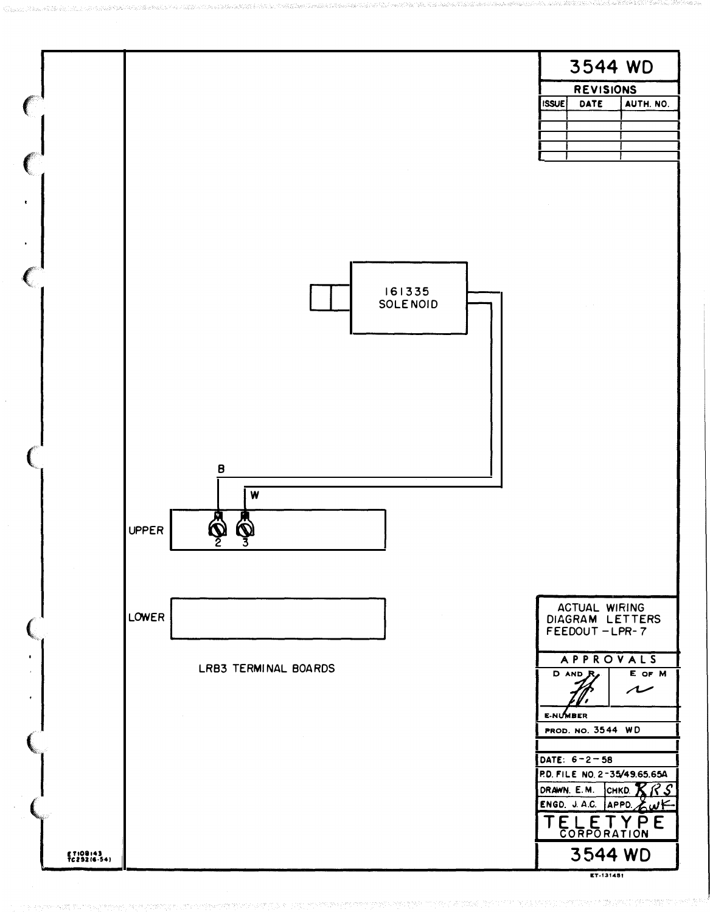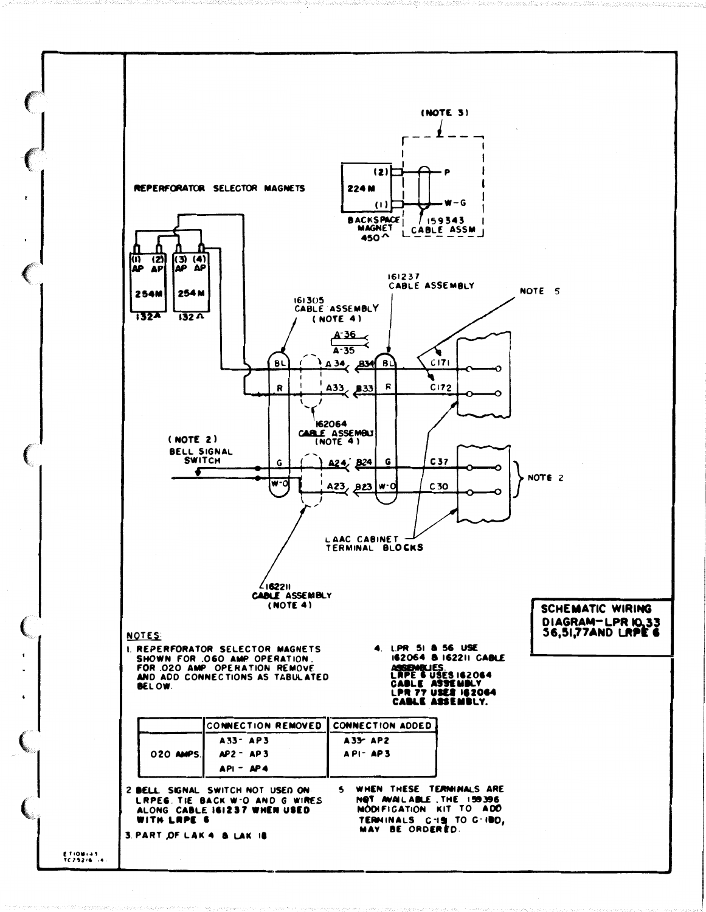